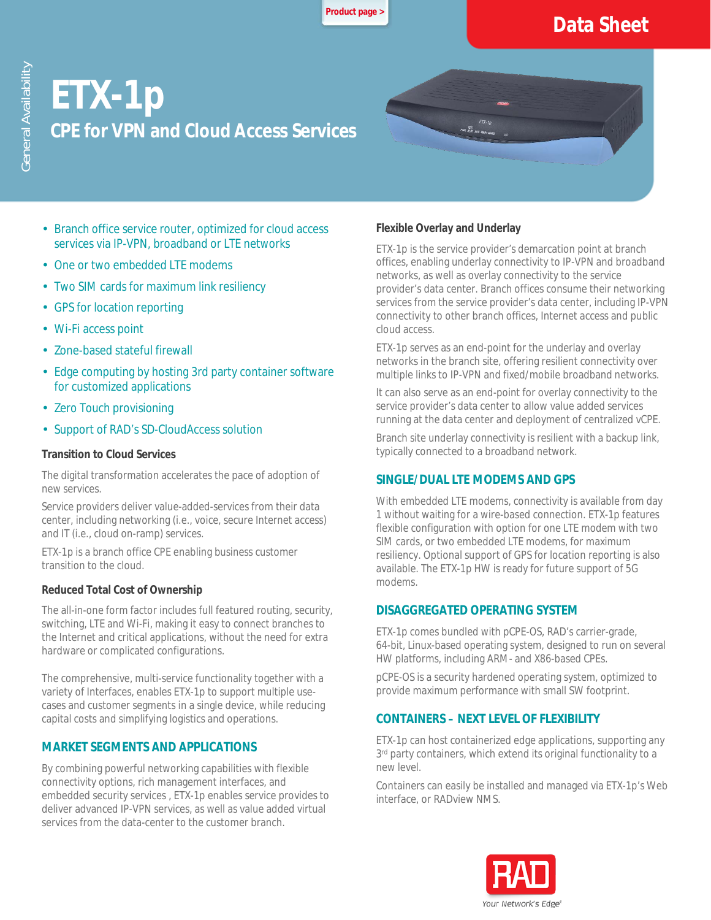**[Product page >](https://www.rad.com/)**

# **Data Sheet**

# **ETX-1p CPE for VPN and Cloud Access Services**

- Branch office service router, optimized for cloud access services via IP-VPN, broadband or LTE networks
- One or two embedded LTE modems
- Two SIM cards for maximum link resiliency
- GPS for location reporting
- Wi-Fi access point
- Zone-based stateful firewall
- Edge computing by hosting 3rd party container software for customized applications
- · Zero Touch provisioning
- Support of RAD's SD-CloudAccess solution

#### **Transition to Cloud Services**

The digital transformation accelerates the pace of adoption of new services.

Service providers deliver value-added-services from their data center, including networking (i.e., voice, secure Internet access) and IT (i.e., cloud on-ramp) services.

ETX-1p is a branch office CPE enabling business customer transition to the cloud.

#### **Reduced Total Cost of Ownership**

The all-in-one form factor includes full featured routing, security, switching, LTE and Wi-Fi, making it easy to connect branches to the Internet and critical applications, without the need for extra hardware or complicated configurations.

The comprehensive, multi-service functionality together with a variety of Interfaces, enables ETX-1p to support multiple usecases and customer segments in a single device, while reducing capital costs and simplifying logistics and operations.

### **MARKET SEGMENTS AND APPLICATIONS**

By combining powerful networking capabilities with flexible connectivity options, rich management interfaces, and embedded security services , ETX-1p enables service provides to deliver advanced IP-VPN services, as well as value added virtual services from the data-center to the customer branch.

#### **Flexible Overlay and Underlay**

 $ETX-1$ 

ETX-1p is the service provider's demarcation point at branch offices, enabling underlay connectivity to IP-VPN and broadband networks, as well as overlay connectivity to the service provider's data center. Branch offices consume their networking services from the service provider's data center, including IP-VPN connectivity to other branch offices, Internet access and public cloud access.

ETX-1p serves as an end-point for the underlay and overlay networks in the branch site, offering resilient connectivity over multiple links to IP-VPN and fixed/mobile broadband networks.

It can also serve as an end-point for overlay connectivity to the service provider's data center to allow value added services running at the data center and deployment of centralized vCPE.

Branch site underlay connectivity is resilient with a backup link, typically connected to a broadband network.

#### **SINGLE/DUAL LTE MODEMS AND GPS**

With embedded LTE modems, connectivity is available from day 1 without waiting for a wire-based connection. ETX-1p features flexible configuration with option for one LTE modem with two SIM cards, or two embedded LTE modems, for maximum resiliency. Optional support of GPS for location reporting is also available. The ETX-1p HW is ready for future support of 5G modems.

#### **DISAGGREGATED OPERATING SYSTEM**

ETX-1p comes bundled with pCPE-OS, RAD's carrier-grade, 64-bit, Linux-based operating system, designed to run on several HW platforms, including ARM- and X86-based CPEs.

pCPE-OS is a security hardened operating system, optimized to provide maximum performance with small SW footprint.

### **CONTAINERS – NEXT LEVEL OF FLEXIBILITY**

ETX-1p can host containerized edge applications, supporting any 3rd party containers, which extend its original functionality to a new level.

Containers can easily be installed and managed via ETX-1p's Web interface, or RADview NMS.

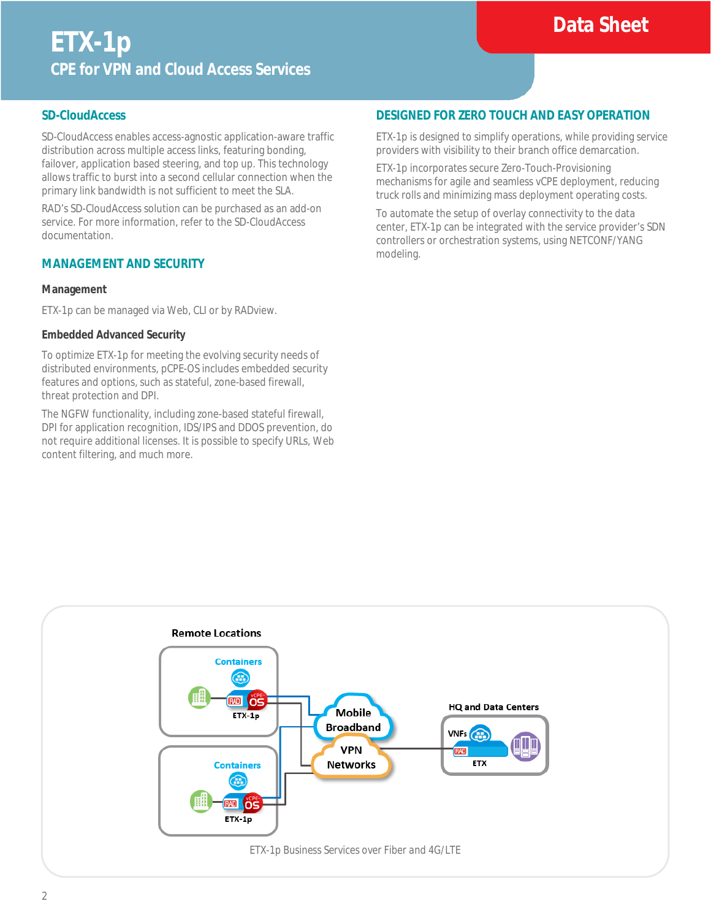# **Data Sheet**

#### **SD-CloudAccess**

SD-CloudAccess enables access-agnostic application-aware traffic distribution across multiple access links, featuring bonding, failover, application based steering, and top up. This technology allows traffic to burst into a second cellular connection when the primary link bandwidth is not sufficient to meet the SLA.

RAD's SD-CloudAccess solution can be purchased as an add-on service. For more information, refer to the SD-CloudAccess documentation.

#### **MANAGEMENT AND SECURITY**

#### **Management**

ETX-1p can be managed via Web, CLI or by RADview.

#### **Embedded Advanced Security**

To optimize ETX-1p for meeting the evolving security needs of distributed environments, pCPE-OS includes embedded security features and options, such as stateful, zone-based firewall, threat protection and DPI.

The NGFW functionality, including zone-based stateful firewall, DPI for application recognition, IDS/IPS and DDOS prevention, do not require additional licenses. It is possible to specify URLs, Web content filtering, and much more.

### **DESIGNED FOR ZERO TOUCH AND EASY OPERATION**

ETX-1p is designed to simplify operations, while providing service providers with visibility to their branch office demarcation.

ETX-1p incorporates secure Zero-Touch-Provisioning mechanisms for agile and seamless vCPE deployment, reducing truck rolls and minimizing mass deployment operating costs.

To automate the setup of overlay connectivity to the data center, ETX-1p can be integrated with the service provider's SDN controllers or orchestration systems, using NETCONF/YANG modeling.

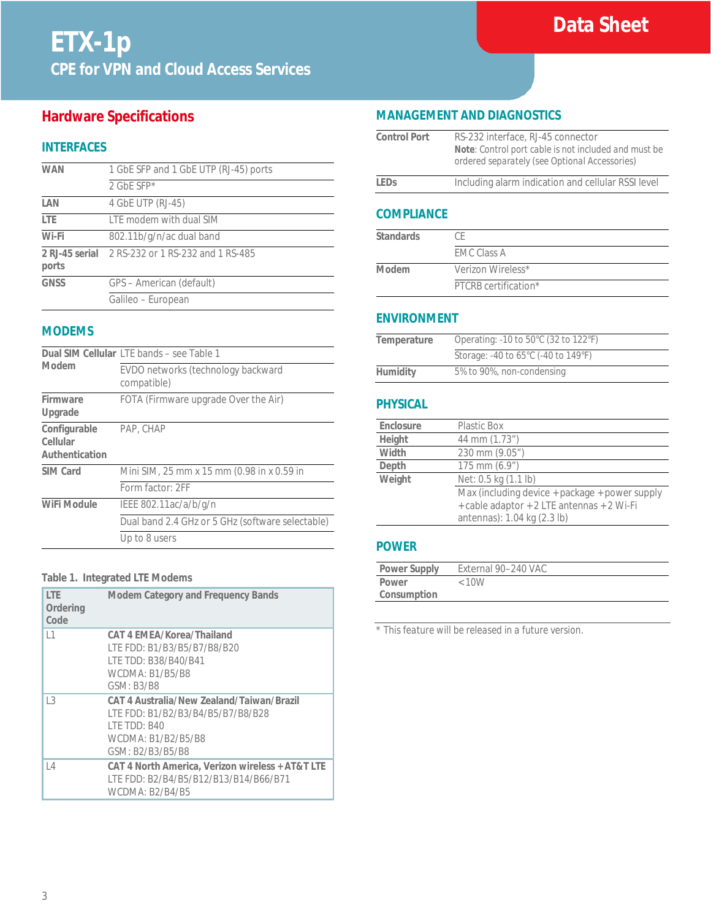# **Hardware Specifications**

# **INTERFACES**

| <b>WAN</b>  | 1 GbE SFP and 1 GbE UTP (RJ-45) ports            |
|-------------|--------------------------------------------------|
|             | 2 GbE SFP $*$                                    |
| LAN         | 4 GbE UTP (RJ-45)                                |
| LTE         | LTE modem with dual SIM                          |
| Wi-Fi       | 802.11b/g/n/ac dual band                         |
| ports       | 2 RJ-45 serial 2 RS-232 or 1 RS-232 and 1 RS-485 |
| <b>GNSS</b> | GPS - American (default)                         |
|             | Galileo - European                               |

### **MODEMS**

| Modem                                      | Dual SIM Cellular LTE bands - see Table 1         |  |
|--------------------------------------------|---------------------------------------------------|--|
|                                            | EVDO networks (technology backward<br>compatible) |  |
| Firmware<br>Upgrade                        | FOTA (Firmware upgrade Over the Air)              |  |
| Configurable<br>Cellular<br>Authentication | PAP, CHAP                                         |  |
| SIM Card                                   | Mini SIM, 25 mm x 15 mm (0.98 in x 0.59 in        |  |
|                                            | Form factor: 2FF                                  |  |
| WiFi Module                                | IEEE 802.11ac/a/b/g/n                             |  |
|                                            | Dual band 2.4 GHz or 5 GHz (software selectable)  |  |
|                                            | Up to 8 users                                     |  |

#### **Table 1. Integrated LTE Modems**

| <b>ITF</b><br>Ordering<br>Code | <b>Modem Category and Frequency Bands</b>                                                                                                        |
|--------------------------------|--------------------------------------------------------------------------------------------------------------------------------------------------|
| 1                              | CAT 4 EMEA/Korea/Thailand<br>LTE FDD: B1/B3/B5/B7/B8/B20<br>LTE TDD: B38/B40/B41<br><b>WCDMA: B1/B5/B8</b><br>GSM: B3/B8                         |
| $\overline{3}$                 | CAT 4 Australia/New Zealand/Taiwan/Brazil<br>LTE FDD: B1/B2/B3/B4/B5/B7/B8/B28<br><b>I TE TDD: B40</b><br>WCDMA: B1/B2/B5/B8<br>GSM: B2/B3/B5/B8 |
| $\vert$ 4                      | CAT 4 North America, Verizon wireless + AT&T LTE<br>LTE FDD: B2/B4/B5/B12/B13/B14/B66/B71<br><b>WCDMA: B2/B4/B5</b>                              |

# **MANAGEMENT AND DIAGNOSTICS**

| <b>Control Port</b> | RS-232 interface, RJ-45 connector<br>Note: Control port cable is not included and must be<br>ordered separately (see Optional Accessories) |
|---------------------|--------------------------------------------------------------------------------------------------------------------------------------------|
| l FDs               | Including alarm indication and cellular RSSI level                                                                                         |
|                     |                                                                                                                                            |

# **COMPLIANCE**

| <b>Standards</b> | СF                   |
|------------------|----------------------|
|                  | <b>EMC Class A</b>   |
| Modem            | Verizon Wireless*    |
|                  | PTCRB certification* |

#### **ENVIRONMENT**

| Temperature | Operating: -10 to 50°C (32 to 122°F) |
|-------------|--------------------------------------|
|             | Storage: -40 to 65°C (-40 to 149°F)  |
| Humidity    | 5% to 90%, non-condensing            |

# **PHYSICAL**

| Enclosure | Plastic Box                                                                                                                 |
|-----------|-----------------------------------------------------------------------------------------------------------------------------|
| Height    | 44 mm (1.73")                                                                                                               |
| Width     | 230 mm (9.05")                                                                                                              |
| Depth     | $175$ mm $(6.9")$                                                                                                           |
| Weight    | Net: 0.5 kg (1.1 lb)                                                                                                        |
|           | Max (including device + package + power supply<br>+ cable adaptor + 2 LTE antennas + 2 Wi-Fi<br>antennas): 1.04 kg (2.3 lb) |

### **POWER**

| <b>Power Supply</b> | External 90-240 VAC |  |
|---------------------|---------------------|--|
| Power               | < 10W               |  |
| Consumption         |                     |  |

*\* This feature will be released in a future version.*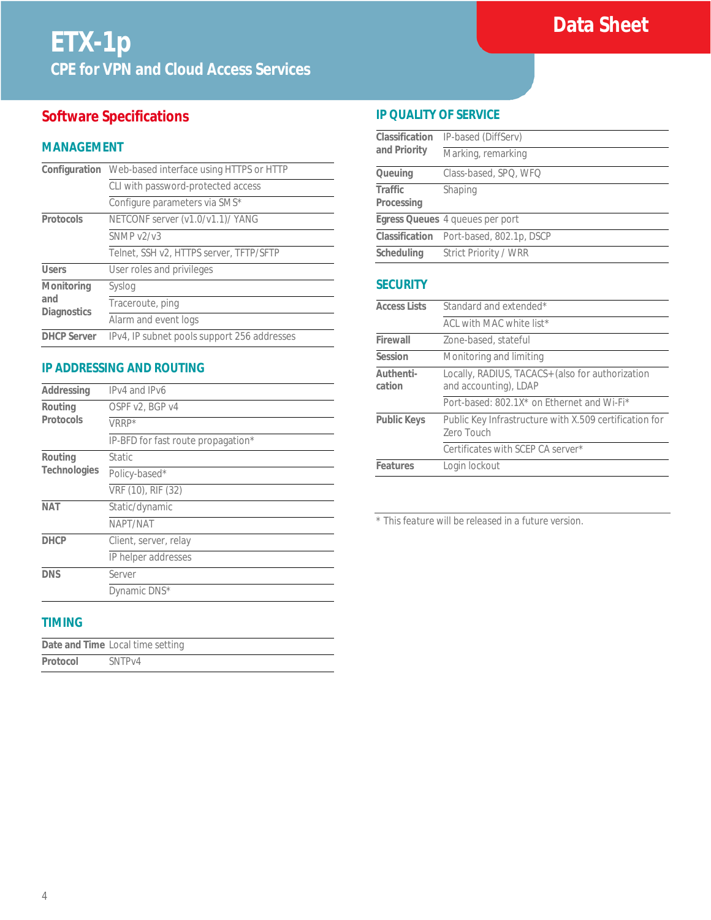# **Software Specifications**

### **MANAGEMENT**

|                                         | Configuration Web-based interface using HTTPS or HTTP |
|-----------------------------------------|-------------------------------------------------------|
|                                         | CLI with password-protected access                    |
|                                         | Configure parameters via SMS*                         |
| Protocols                               | NETCONF server (v1.0/v1.1)/ YANG                      |
|                                         | SNMP v2/v3                                            |
|                                         | Telnet, SSH v2, HTTPS server, TFTP/SFTP               |
| <b>Users</b>                            | User roles and privileges                             |
| Monitoring<br>and<br><b>Diagnostics</b> | Syslog                                                |
|                                         | Traceroute, ping                                      |
|                                         | Alarm and event logs                                  |
| <b>DHCP Server</b>                      | IPv4, IP subnet pools support 256 addresses           |

# **IP ADDRESSING AND ROUTING**

| Addressing   | IPv4 and IPv6                      |
|--------------|------------------------------------|
| Routing      | OSPF v2, BGP v4                    |
| Protocols    | VRRP*                              |
|              | IP-BFD for fast route propagation* |
| Routing      | <b>Static</b>                      |
| Technologies | Policy-based*                      |
|              | VRF (10), RIF (32)                 |
| <b>NAT</b>   | Static/dynamic                     |
|              | NAPT/NAT                           |
| <b>DHCP</b>  | Client, server, relay              |
|              | IP helper addresses                |
| <b>DNS</b>   | Server                             |
|              | Dynamic DNS*                       |

# **TIMING**

|          | Date and Time Local time setting |
|----------|----------------------------------|
| Protocol | SNTP <sub>V4</sub>               |

### **IP QUALITY OF SERVICE**

| Classification<br>and Priority | IP-based (DiffServ)                     |
|--------------------------------|-----------------------------------------|
|                                | Marking, remarking                      |
| Queuing                        | Class-based, SPQ, WFQ                   |
| Traffic                        | Shaping                                 |
| Processing                     |                                         |
|                                | Egress Queues 4 queues per port         |
|                                | Classification Port-based, 802.1p, DSCP |
| Scheduling                     | Strict Priority / WRR                   |
|                                |                                         |

### **SECURITY**

| <b>Access Lists</b> | Standard and extended*                                                    |  |
|---------------------|---------------------------------------------------------------------------|--|
|                     | ACL with MAC white list*                                                  |  |
| Firewall            | Zone-based, stateful                                                      |  |
| Session             | Monitoring and limiting                                                   |  |
| Authenti-<br>cation | Locally, RADIUS, TACACS+ (also for authorization<br>and accounting), LDAP |  |
|                     | Port-based: 802.1X* on Ethernet and Wi-Fi*                                |  |
| <b>Public Keys</b>  | Public Key Infrastructure with X.509 certification for<br>Zero Touch      |  |
|                     | Certificates with SCEP CA server*                                         |  |
| Features            | Login lockout                                                             |  |

*\* This feature will be released in a future version.*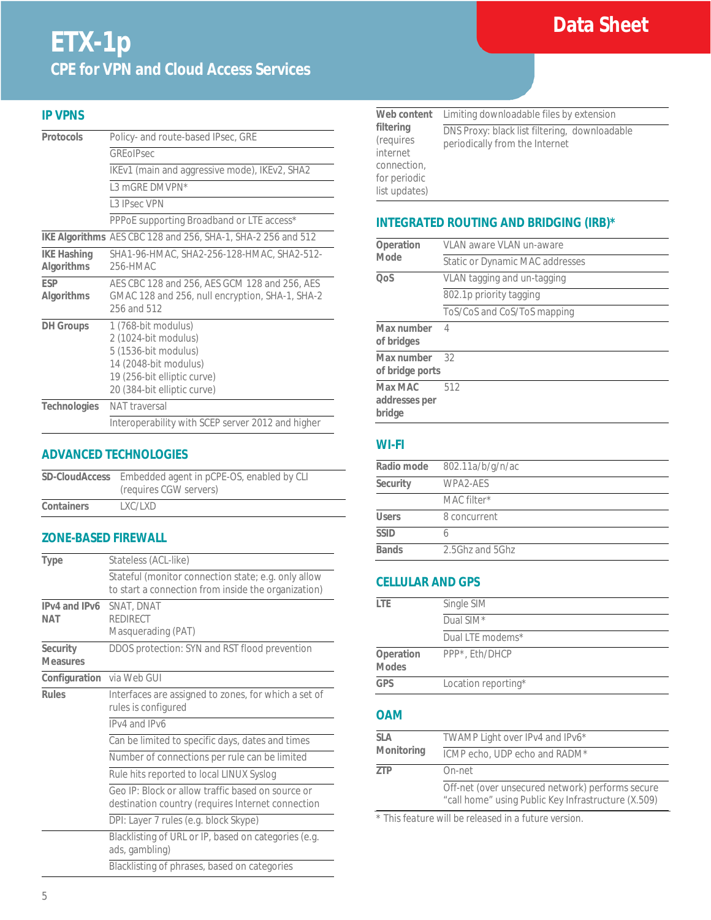# **Data Sheet**

# **ETX-1p CPE for VPN and Cloud Access Services**

### **IP VPNS**

| Protocols                        | Policy- and route-based IPsec, GRE                                                                                                                         |  |
|----------------------------------|------------------------------------------------------------------------------------------------------------------------------------------------------------|--|
|                                  | GREOIPsec                                                                                                                                                  |  |
|                                  | IKEv1 (main and aggressive mode), IKEv2, SHA2                                                                                                              |  |
|                                  | 1.3 mGRF DMVPN*                                                                                                                                            |  |
|                                  | 1.3 IPsec VPN                                                                                                                                              |  |
|                                  | PPPoE supporting Broadband or LTE access*                                                                                                                  |  |
|                                  | IKE Algorithms AES CBC 128 and 256, SHA-1, SHA-2 256 and 512                                                                                               |  |
| <b>IKE Hashing</b><br>Algorithms | SHA1-96-HMAC, SHA2-256-128-HMAC, SHA2-512-<br>256-HMAC                                                                                                     |  |
| <b>FSP</b><br>Algorithms         | AES CBC 128 and 256, AES GCM 128 and 256, AES<br>GMAC 128 and 256, null encryption, SHA-1, SHA-2<br>256 and 512                                            |  |
| <b>DH</b> Groups                 | 1 (768-bit modulus)<br>2 (1024-bit modulus)<br>5 (1536-bit modulus)<br>14 (2048-bit modulus)<br>19 (256-bit elliptic curve)<br>20 (384-bit elliptic curve) |  |
| <b>Technologies</b>              | NAT traversal                                                                                                                                              |  |
|                                  | Interoperability with SCEP server 2012 and higher                                                                                                          |  |

## **ADVANCED TECHNOLOGIES**

| SD-CloudAccess | Embedded agent in pCPE-OS, enabled by CLI<br>(requires CGW servers) |
|----------------|---------------------------------------------------------------------|
| Containers     | LXC/LXD                                                             |

#### **ZONE-BASED FIREWALL**

| <b>Type</b>                 | Stateless (ACL-like)                                                                                       |  |
|-----------------------------|------------------------------------------------------------------------------------------------------------|--|
|                             | Stateful (monitor connection state; e.g. only allow<br>to start a connection from inside the organization) |  |
| IPv4 and IPv6<br>NAT        | SNAT, DNAT<br><b>REDIRECT</b><br>Masquerading (PAT)                                                        |  |
| Security<br><b>Measures</b> | DDOS protection: SYN and RST flood prevention                                                              |  |
| Configuration via Web GUI   |                                                                                                            |  |
| <b>Rules</b>                | Interfaces are assigned to zones, for which a set of<br>rules is configured                                |  |
|                             | IPv4 and IPv6                                                                                              |  |
|                             | Can be limited to specific days, dates and times                                                           |  |
|                             | Number of connections per rule can be limited                                                              |  |
|                             | Rule hits reported to local LINUX Syslog                                                                   |  |
|                             | Geo IP: Block or allow traffic based on source or<br>destination country (requires Internet connection     |  |
|                             | DPI: Layer 7 rules (e.g. block Skype)                                                                      |  |
|                             | Blacklisting of URL or IP, based on categories (e.g.<br>ads, gambling)                                     |  |
|                             | Blacklisting of phrases, based on categories                                                               |  |

| Web content                                                                        | Limiting downloadable files by extension                                        |  |
|------------------------------------------------------------------------------------|---------------------------------------------------------------------------------|--|
| filtering<br>(requires<br>internet<br>connection,<br>for periodic<br>list updates) | DNS Proxy: black list filtering, downloadable<br>periodically from the Internet |  |

# **INTEGRATED ROUTING AND BRIDGING (IRB)\***

| VLAN aware VLAN un-aware        |  |
|---------------------------------|--|
| Static or Dynamic MAC addresses |  |
| VLAN tagging and un-tagging     |  |
| 802.1p priority tagging         |  |
| ToS/CoS and CoS/ToS mapping     |  |
| $\overline{4}$                  |  |
| 32                              |  |
| 512                             |  |
|                                 |  |

## **WI-FI**

| Radio mode   | 802.11a/b/g/n/ac |  |
|--------------|------------------|--|
| Security     | WPA2-AFS         |  |
|              | MAC filter*      |  |
| <b>Users</b> | 8 concurrent     |  |
| <b>SSID</b>  |                  |  |
| <b>Bands</b> | 2.5Ghz and 5Ghz  |  |

### **CELLULAR AND GPS**

| l TF                      | Single SIM          |
|---------------------------|---------------------|
|                           | Dual SIM*           |
|                           | Dual LTE modems*    |
| Operation<br><b>Modes</b> | PPP*, Eth/DHCP      |
| <b>GPS</b>                | Location reporting* |

# **OAM**

| SIA        | TWAMP Light over IPv4 and IPv6*                                                                         |
|------------|---------------------------------------------------------------------------------------------------------|
| Monitoring | ICMP echo, UDP echo and RADM*                                                                           |
| 7TP        | On-net                                                                                                  |
|            | Off-net (over unsecured network) performs secure<br>"call home" using Public Key Infrastructure (X.509) |

*\* This feature will be released in a future version.*